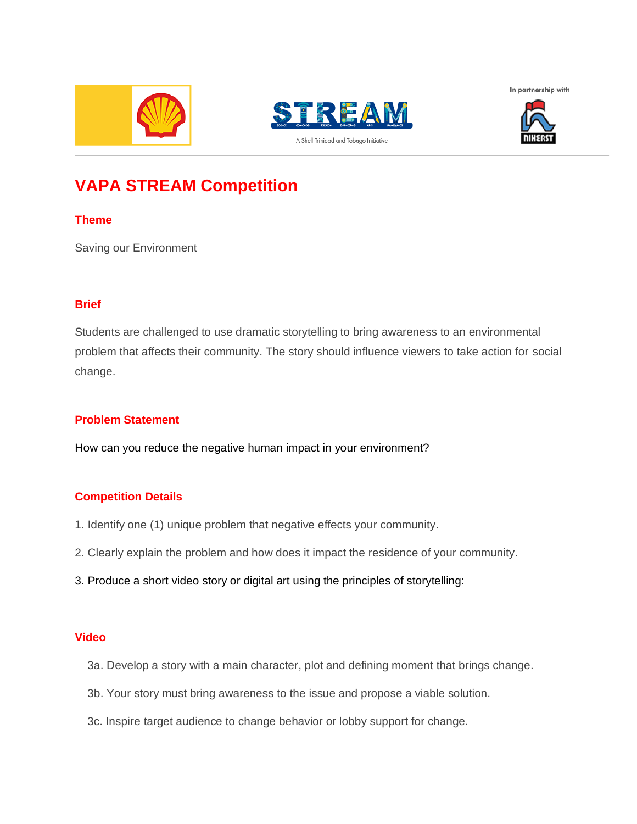







# **VAPA STREAM Competition**

#### **Theme**

Saving our Environment

#### **Brief**

Students are challenged to use dramatic storytelling to bring awareness to an environmental problem that affects their community. The story should influence viewers to take action for social change.

#### **Problem Statement**

How can you reduce the negative human impact in your environment?

#### **Competition Details**

- 1. Identify one (1) unique problem that negative effects your community.
- 2. Clearly explain the problem and how does it impact the residence of your community.
- 3. Produce a short video story or digital art using the principles of storytelling:

#### **Video**

- 3a. Develop a story with a main character, plot and defining moment that brings change.
- 3b. Your story must bring awareness to the issue and propose a viable solution.
- 3c. Inspire target audience to change behavior or lobby support for change.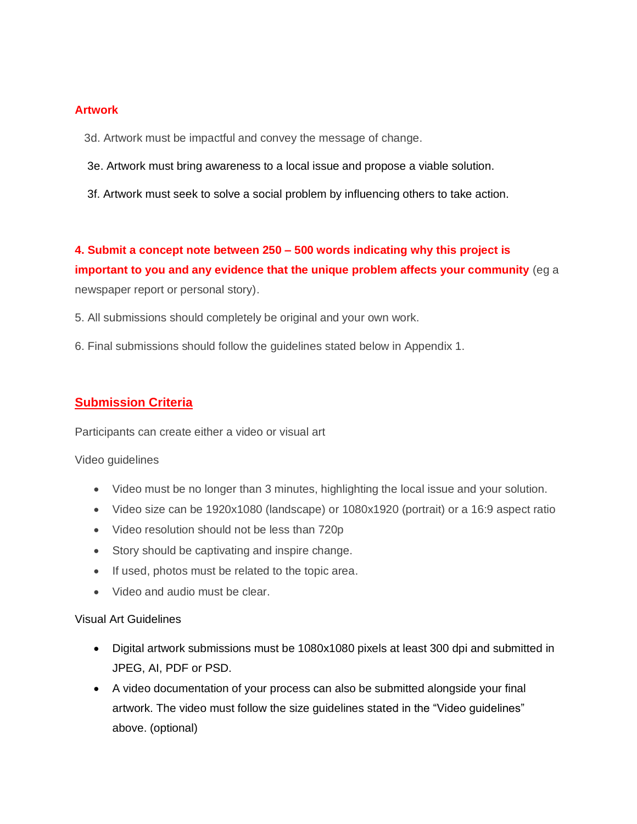#### **Artwork**

- 3d. Artwork must be impactful and convey the message of change.
- 3e. Artwork must bring awareness to a local issue and propose a viable solution.
- 3f. Artwork must seek to solve a social problem by influencing others to take action.

**4. Submit a concept note between 250 – 500 words indicating why this project is important to you and any evidence that the unique problem affects your community** (eg a newspaper report or personal story).

- 5. All submissions should completely be original and your own work.
- 6. Final submissions should follow the guidelines stated below in Appendix 1.

### **Submission Criteria**

Participants can create either a video or visual art

#### Video guidelines

- Video must be no longer than 3 minutes, highlighting the local issue and your solution.
- Video size can be 1920x1080 (landscape) or 1080x1920 (portrait) or a 16:9 aspect ratio
- Video resolution should not be less than 720p
- Story should be captivating and inspire change.
- If used, photos must be related to the topic area.
- Video and audio must be clear.

#### Visual Art Guidelines

- Digital artwork submissions must be 1080x1080 pixels at least 300 dpi and submitted in JPEG, AI, PDF or PSD.
- A video documentation of your process can also be submitted alongside your final artwork. The video must follow the size guidelines stated in the "Video guidelines" above. (optional)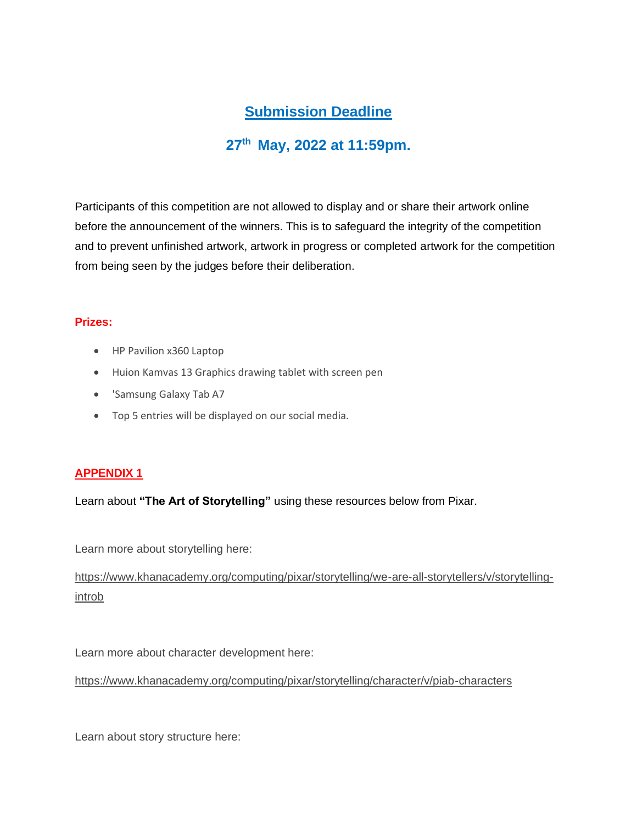# **Submission Deadline**

# **27th May, 2022 at 11:59pm.**

Participants of this competition are not allowed to display and or share their artwork online before the announcement of the winners. This is to safeguard the integrity of the competition and to prevent unfinished artwork, artwork in progress or completed artwork for the competition from being seen by the judges before their deliberation.

#### **Prizes:**

- HP Pavilion x360 Laptop
- Huion Kamvas 13 Graphics drawing tablet with screen pen
- 'Samsung Galaxy Tab A7
- Top 5 entries will be displayed on our social media.

#### **APPENDIX 1**

Learn about **"The Art of Storytelling"** using these resources below from Pixar.

Learn more about storytelling here:

[https://www.khanacademy.org/computing/pixar/storytelling/we-are-all-storytellers/v/storytelling](https://www.khanacademy.org/computing/pixar/storytelling/we-are-all-storytellers/v/storytelling-introb)[introb](https://www.khanacademy.org/computing/pixar/storytelling/we-are-all-storytellers/v/storytelling-introb)

Learn more about character development here:

<https://www.khanacademy.org/computing/pixar/storytelling/character/v/piab-characters>

Learn about story structure here: